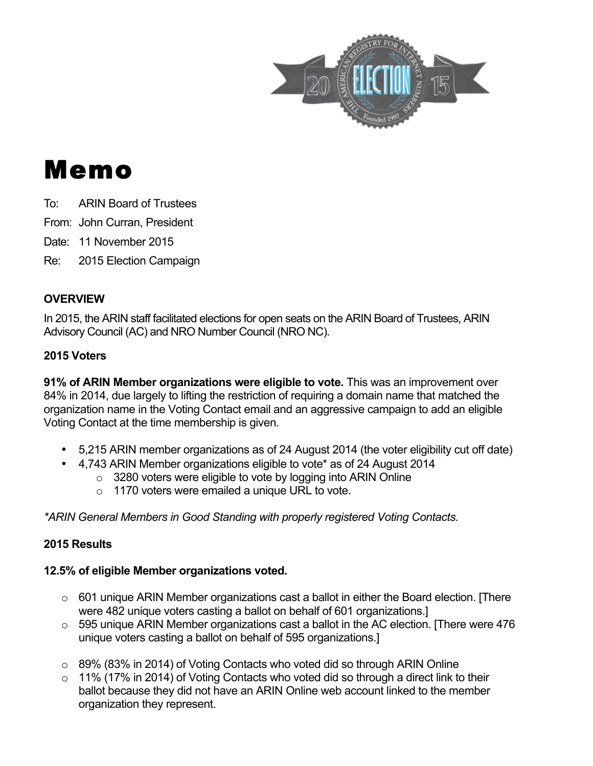

# Memo

To: ARIN Board of Trustees

From: John Curran, President

Date: 11 November 2015

Re: 2015 Election Campaign

## **OVERVIEW**

In 2015, the ARIN staff facilitated elections for open seats on the ARIN Board of Trustees, ARIN Advisory Council (AC) and NRO Number Council (NRO NC).

## **2015 Voters**

**91% of ARIN Member organizations were eligible to vote.** This was an improvement over 84% in 2014, due largely to lifting the restriction of requiring a domain name that matched the organization name in the Voting Contact email and an aggressive campaign to add an eligible Voting Contact at the time membership is given.

- 5,215 ARIN member organizations as of 24 August 2014 (the voter eligibility cut off date)
- 4,743 ARIN Member organizations eligible to vote\* as of 24 August 2014
	- $\circ$  3280 voters were eligible to vote by logging into ARIN Online
	- o 1170 voters were emailed a unique URL to vote.

*\*ARIN General Members in Good Standing with properly registered Voting Contacts.*

## **2015 Results**

## **12.5% of eligible Member organizations voted.**

- $\circ$  601 unique ARIN Member organizations cast a ballot in either the Board election. [There were 482 unique voters casting a ballot on behalf of 601 organizations.]
- $\circ$  595 unique ARIN Member organizations cast a ballot in the AC election. [There were 476 unique voters casting a ballot on behalf of 595 organizations.]
- o 89% (83% in 2014) of Voting Contacts who voted did so through ARIN Online
- $\circ$  11% (17% in 2014) of Voting Contacts who voted did so through a direct link to their ballot because they did not have an ARIN Online web account linked to the member organization they represent.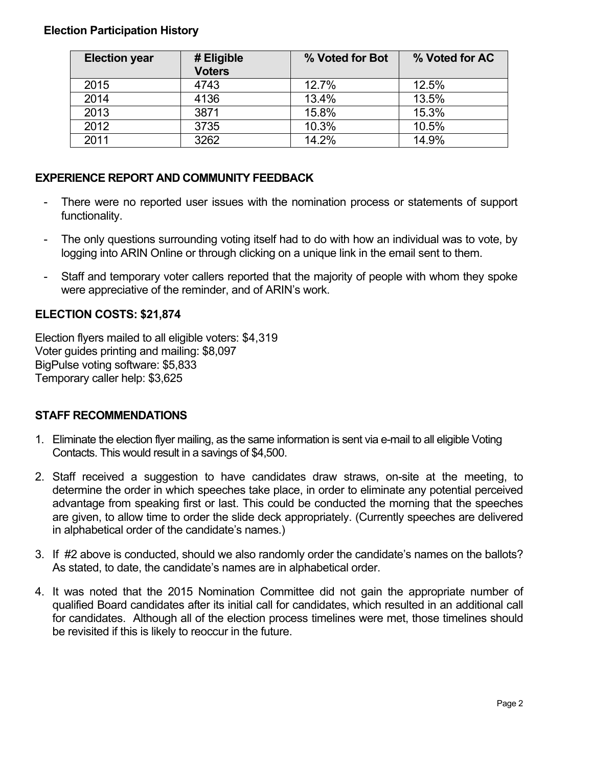#### **Election Participation History**

| <b>Election year</b> | # Eligible<br><b>Voters</b> | % Voted for Bot | % Voted for AC |
|----------------------|-----------------------------|-----------------|----------------|
| 2015                 | 4743                        | 12.7%           | 12.5%          |
| 2014                 | 4136                        | 13.4%           | 13.5%          |
| 2013                 | 3871                        | 15.8%           | 15.3%          |
| 2012                 | 3735                        | 10.3%           | 10.5%          |
| 2011                 | 3262                        | 14.2%           | 14.9%          |

#### **EXPERIENCE REPORT AND COMMUNITY FEEDBACK**

- There were no reported user issues with the nomination process or statements of support functionality.
- The only questions surrounding voting itself had to do with how an individual was to vote, by logging into ARIN Online or through clicking on a unique link in the email sent to them.
- Staff and temporary voter callers reported that the majority of people with whom they spoke were appreciative of the reminder, and of ARIN's work.

#### **ELECTION COSTS: \$21,874**

Election flyers mailed to all eligible voters: \$4,319 Voter guides printing and mailing: \$8,097 BigPulse voting software: \$5,833 Temporary caller help: \$3,625

#### **STAFF RECOMMENDATIONS**

- 1. Eliminate the election flyer mailing, as the same information is sent via e-mail to all eligible Voting Contacts. This would result in a savings of \$4,500.
- 2. Staff received a suggestion to have candidates draw straws, on-site at the meeting, to determine the order in which speeches take place, in order to eliminate any potential perceived advantage from speaking first or last. This could be conducted the morning that the speeches are given, to allow time to order the slide deck appropriately. (Currently speeches are delivered in alphabetical order of the candidate's names.)
- 3. If #2 above is conducted, should we also randomly order the candidate's names on the ballots? As stated, to date, the candidate's names are in alphabetical order.
- 4. It was noted that the 2015 Nomination Committee did not gain the appropriate number of qualified Board candidates after its initial call for candidates, which resulted in an additional call for candidates. Although all of the election process timelines were met, those timelines should be revisited if this is likely to reoccur in the future.